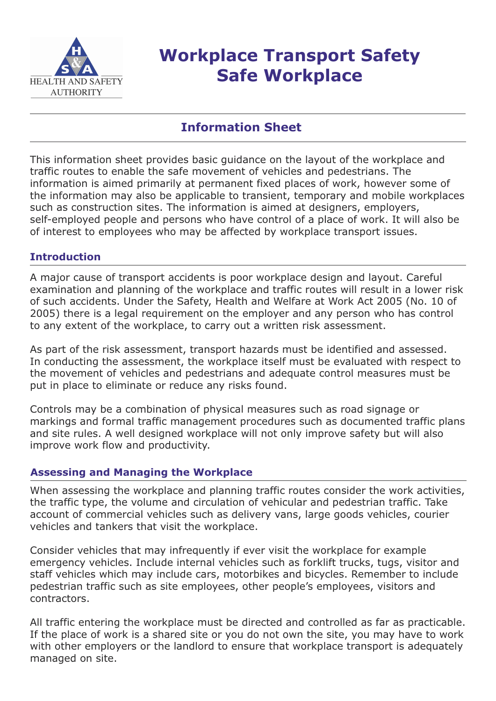

# **Workplace Transport Safety Safe Workplace**

# **Information Sheet**

This information sheet provides basic guidance on the layout of the workplace and traffic routes to enable the safe movement of vehicles and pedestrians. The information is aimed primarily at permanent fixed places of work, however some of the information may also be applicable to transient, temporary and mobile workplaces such as construction sites. The information is aimed at designers, employers, self-employed people and persons who have control of a place of work. It will also be of interest to employees who may be affected by workplace transport issues.

### **Introduction**

A major cause of transport accidents is poor workplace design and layout. Careful examination and planning of the workplace and traffic routes will result in a lower risk of such accidents. Under the Safety, Health and Welfare at Work Act 2005 (No. 10 of 2005) there is a legal requirement on the employer and any person who has control to any extent of the workplace, to carry out a written risk assessment.

As part of the risk assessment, transport hazards must be identified and assessed. In conducting the assessment, the workplace itself must be evaluated with respect to the movement of vehicles and pedestrians and adequate control measures must be put in place to eliminate or reduce any risks found.

Controls may be a combination of physical measures such as road signage or markings and formal traffic management procedures such as documented traffic plans and site rules. A well designed workplace will not only improve safety but will also improve work flow and productivity.

#### **Assessing and Managing the Workplace**

When assessing the workplace and planning traffic routes consider the work activities, the traffic type, the volume and circulation of vehicular and pedestrian traffic. Take account of commercial vehicles such as delivery vans, large goods vehicles, courier vehicles and tankers that visit the workplace.

Consider vehicles that may infrequently if ever visit the workplace for example emergency vehicles. Include internal vehicles such as forklift trucks, tugs, visitor and staff vehicles which may include cars, motorbikes and bicycles. Remember to include pedestrian traffic such as site employees, other people's employees, visitors and contractors.

All traffic entering the workplace must be directed and controlled as far as practicable. If the place of work is a shared site or you do not own the site, you may have to work with other employers or the landlord to ensure that workplace transport is adequately managed on site.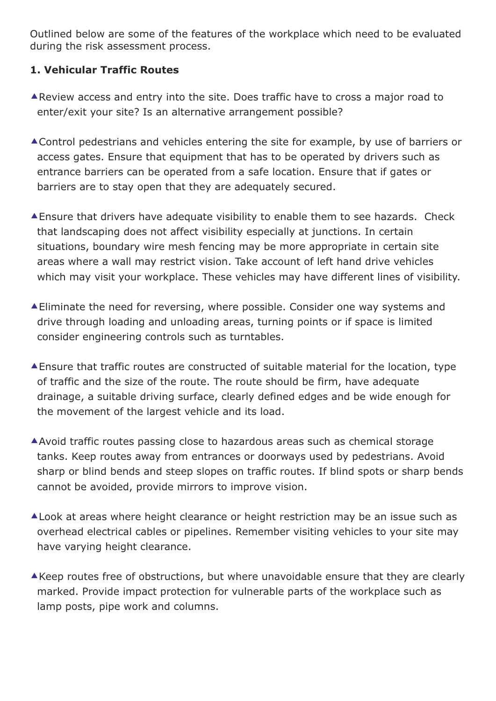Outlined below are some of the features of the workplace which need to be evaluated during the risk assessment process.

## **1. Vehicular Traffic Routes**

- Review access and entry into the site. Does traffic have to cross a major road to enter/exit your site? Is an alternative arrangement possible?
- Control pedestrians and vehicles entering the site for example, by use of barriers or access gates. Ensure that equipment that has to be operated by drivers such as entrance barriers can be operated from a safe location. Ensure that if gates or barriers are to stay open that they are adequately secured.
- Ensure that drivers have adequate visibility to enable them to see hazards. Check that landscaping does not affect visibility especially at junctions. In certain situations, boundary wire mesh fencing may be more appropriate in certain site areas where a wall may restrict vision. Take account of left hand drive vehicles which may visit your workplace. These vehicles may have different lines of visibility.
- Eliminate the need for reversing, where possible. Consider one way systems and drive through loading and unloading areas, turning points or if space is limited consider engineering controls such as turntables.
- Ensure that traffic routes are constructed of suitable material for the location, type of traffic and the size of the route. The route should be firm, have adequate drainage, a suitable driving surface, clearly defined edges and be wide enough for the movement of the largest vehicle and its load.
- Avoid traffic routes passing close to hazardous areas such as chemical storage tanks. Keep routes away from entrances or doorways used by pedestrians. Avoid sharp or blind bends and steep slopes on traffic routes. If blind spots or sharp bends cannot be avoided, provide mirrors to improve vision.
- A Look at areas where height clearance or height restriction may be an issue such as overhead electrical cables or pipelines. Remember visiting vehicles to your site may have varying height clearance.
- $\triangle$ Keep routes free of obstructions, but where unavoidable ensure that they are clearly marked. Provide impact protection for vulnerable parts of the workplace such as lamp posts, pipe work and columns.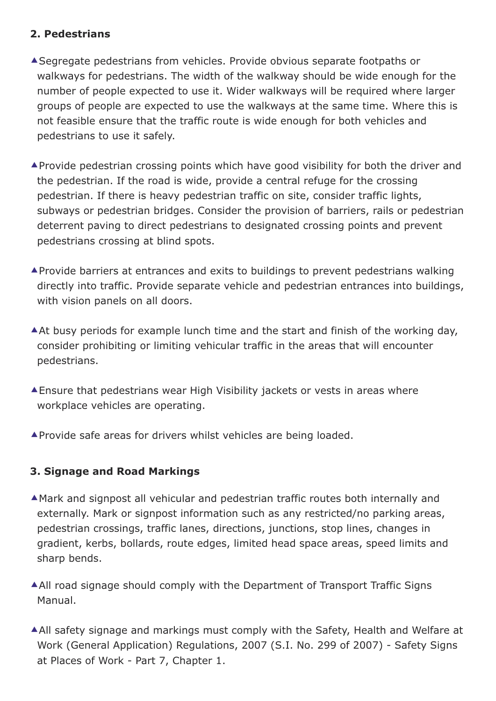## **2. Pedestrians**

- Segregate pedestrians from vehicles. Provide obvious separate footpaths or walkways for pedestrians. The width of the walkway should be wide enough for the number of people expected to use it. Wider walkways will be required where larger groups of people are expected to use the walkways at the same time. Where this is not feasible ensure that the traffic route is wide enough for both vehicles and pedestrians to use it safely.
- Provide pedestrian crossing points which have good visibility for both the driver and the pedestrian. If the road is wide, provide a central refuge for the crossing pedestrian. If there is heavy pedestrian traffic on site, consider traffic lights, subways or pedestrian bridges. Consider the provision of barriers, rails or pedestrian deterrent paving to direct pedestrians to designated crossing points and prevent pedestrians crossing at blind spots.
- Provide barriers at entrances and exits to buildings to prevent pedestrians walking directly into traffic. Provide separate vehicle and pedestrian entrances into buildings, with vision panels on all doors.
- At busy periods for example lunch time and the start and finish of the working day, consider prohibiting or limiting vehicular traffic in the areas that will encounter pedestrians.
- Ensure that pedestrians wear High Visibility jackets or vests in areas where workplace vehicles are operating.
- **A** Provide safe areas for drivers whilst vehicles are being loaded.

# **3. Signage and Road Markings**

- Mark and signpost all vehicular and pedestrian traffic routes both internally and externally. Mark or signpost information such as any restricted/no parking areas, pedestrian crossings, traffic lanes, directions, junctions, stop lines, changes in gradient, kerbs, bollards, route edges, limited head space areas, speed limits and sharp bends.
- All road signage should comply with the Department of Transport Traffic Signs Manual.
- All safety signage and markings must comply with the Safety, Health and Welfare at Work (General Application) Regulations, 2007 (S.I. No. 299 of 2007) - Safety Signs at Places of Work - Part 7, Chapter 1.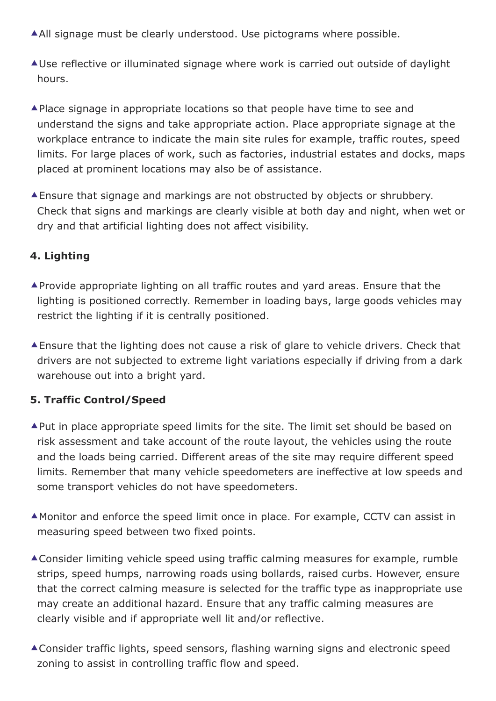- All signage must be clearly understood. Use pictograms where possible.
- Use reflective or illuminated signage where work is carried out outside of daylight hours.
- ▲ Place signage in appropriate locations so that people have time to see and understand the signs and take appropriate action. Place appropriate signage at the workplace entrance to indicate the main site rules for example, traffic routes, speed limits. For large places of work, such as factories, industrial estates and docks, maps placed at prominent locations may also be of assistance.
- Ensure that signage and markings are not obstructed by objects or shrubbery. Check that signs and markings are clearly visible at both day and night, when wet or dry and that artificial lighting does not affect visibility.

# **4. Lighting**

- Provide appropriate lighting on all traffic routes and yard areas. Ensure that the lighting is positioned correctly. Remember in loading bays, large goods vehicles may restrict the lighting if it is centrally positioned.
- Ensure that the lighting does not cause a risk of glare to vehicle drivers. Check that drivers are not subjected to extreme light variations especially if driving from a dark warehouse out into a bright yard.

# **5. Traffic Control/Speed**

- ▲ Put in place appropriate speed limits for the site. The limit set should be based on risk assessment and take account of the route layout, the vehicles using the route and the loads being carried. Different areas of the site may require different speed limits. Remember that many vehicle speedometers are ineffective at low speeds and some transport vehicles do not have speedometers.
- Monitor and enforce the speed limit once in place. For example, CCTV can assist in measuring speed between two fixed points.
- Consider limiting vehicle speed using traffic calming measures for example, rumble strips, speed humps, narrowing roads using bollards, raised curbs. However, ensure that the correct calming measure is selected for the traffic type as inappropriate use may create an additional hazard. Ensure that any traffic calming measures are clearly visible and if appropriate well lit and/or reflective.
- Consider traffic lights, speed sensors, flashing warning signs and electronic speed zoning to assist in controlling traffic flow and speed.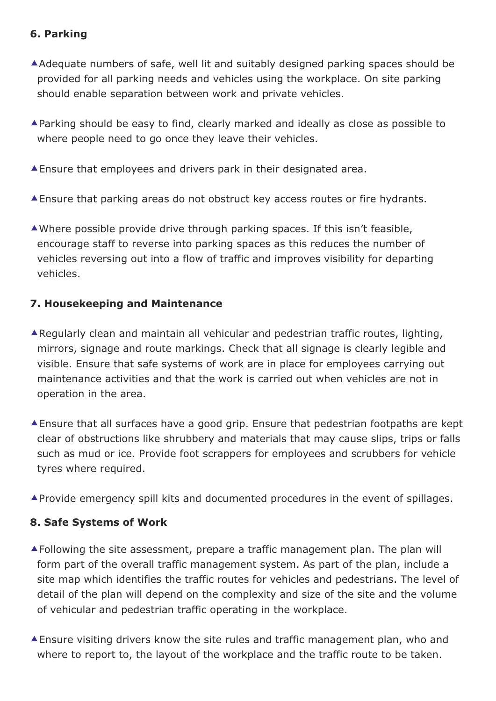## **6. Parking**

- Adequate numbers of safe, well lit and suitably designed parking spaces should be provided for all parking needs and vehicles using the workplace. On site parking should enable separation between work and private vehicles.
- Parking should be easy to find, clearly marked and ideally as close as possible to where people need to go once they leave their vehicles.
- Ensure that employees and drivers park in their designated area.
- Ensure that parking areas do not obstruct key access routes or fire hydrants.
- Where possible provide drive through parking spaces. If this isn't feasible, encourage staff to reverse into parking spaces as this reduces the number of vehicles reversing out into a flow of traffic and improves visibility for departing vehicles.

### **7. Housekeeping and Maintenance**

- Regularly clean and maintain all vehicular and pedestrian traffic routes, lighting, mirrors, signage and route markings. Check that all signage is clearly legible and visible. Ensure that safe systems of work are in place for employees carrying out maintenance activities and that the work is carried out when vehicles are not in operation in the area.
- Ensure that all surfaces have a good grip. Ensure that pedestrian footpaths are kept clear of obstructions like shrubbery and materials that may cause slips, trips or falls such as mud or ice. Provide foot scrappers for employees and scrubbers for vehicle tyres where required.
- Provide emergency spill kits and documented procedures in the event of spillages.

#### **8. Safe Systems of Work**

- Following the site assessment, prepare a traffic management plan. The plan will form part of the overall traffic management system. As part of the plan, include a site map which identifies the traffic routes for vehicles and pedestrians. The level of detail of the plan will depend on the complexity and size of the site and the volume of vehicular and pedestrian traffic operating in the workplace.
- Ensure visiting drivers know the site rules and traffic management plan, who and where to report to, the layout of the workplace and the traffic route to be taken.